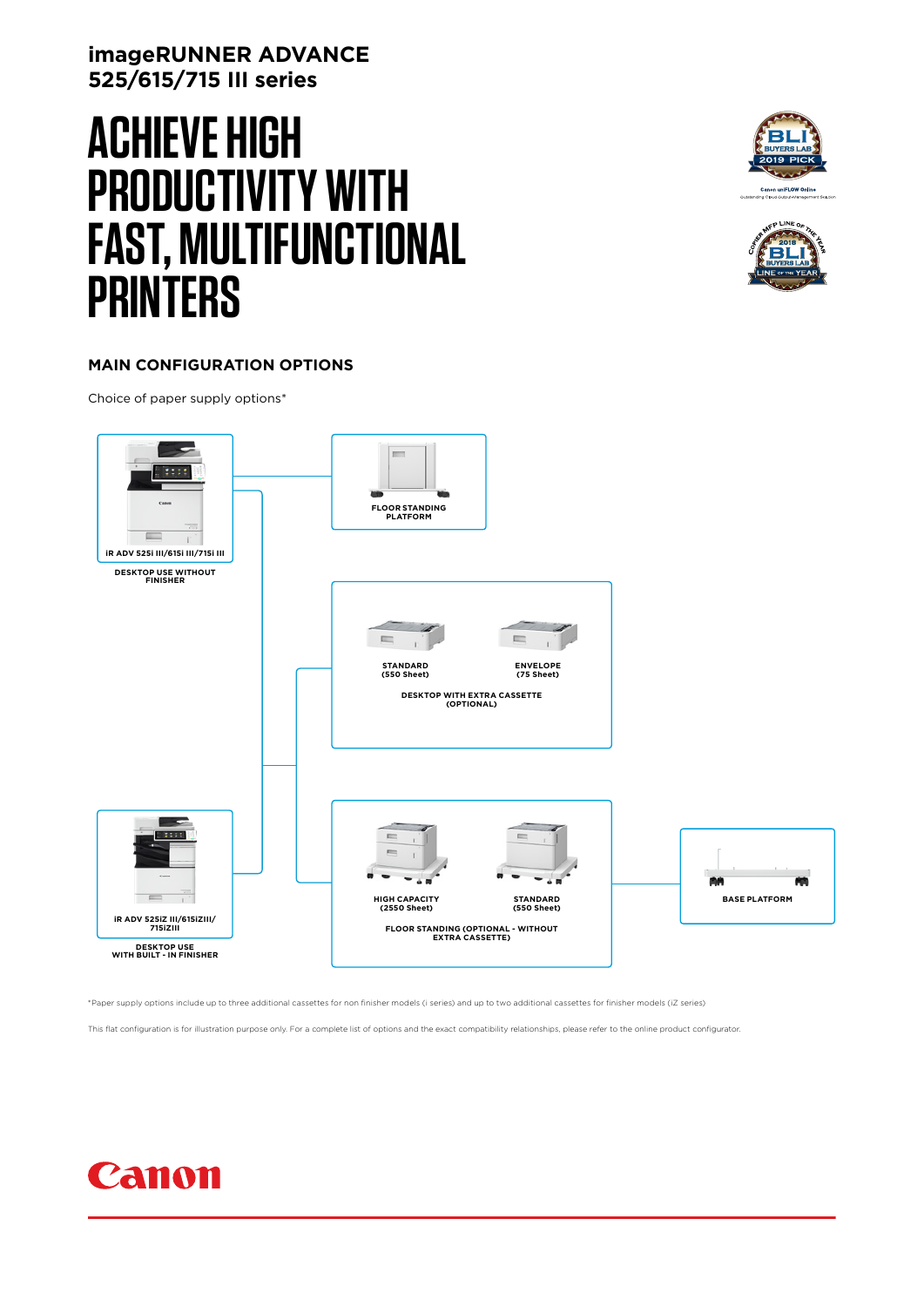# **imageRUNNER ADVANCE 525/615/715 III series**

# **ACHIEVE HIGH PRODUCTIVITY WITH FAST, MULTIFUNCTIONAL PRINTERS**





### **MAIN CONFIGURATION OPTIONS**

Choice of paper supply options\*



\*Paper supply options include up to three additional cassettes for non finisher models (i series) and up to two additional cassettes for finisher models (iZ series)

This flat configuration is for illustration purpose only. For a complete list of options and the exact compatibility relationships, please refer to the online product configurator

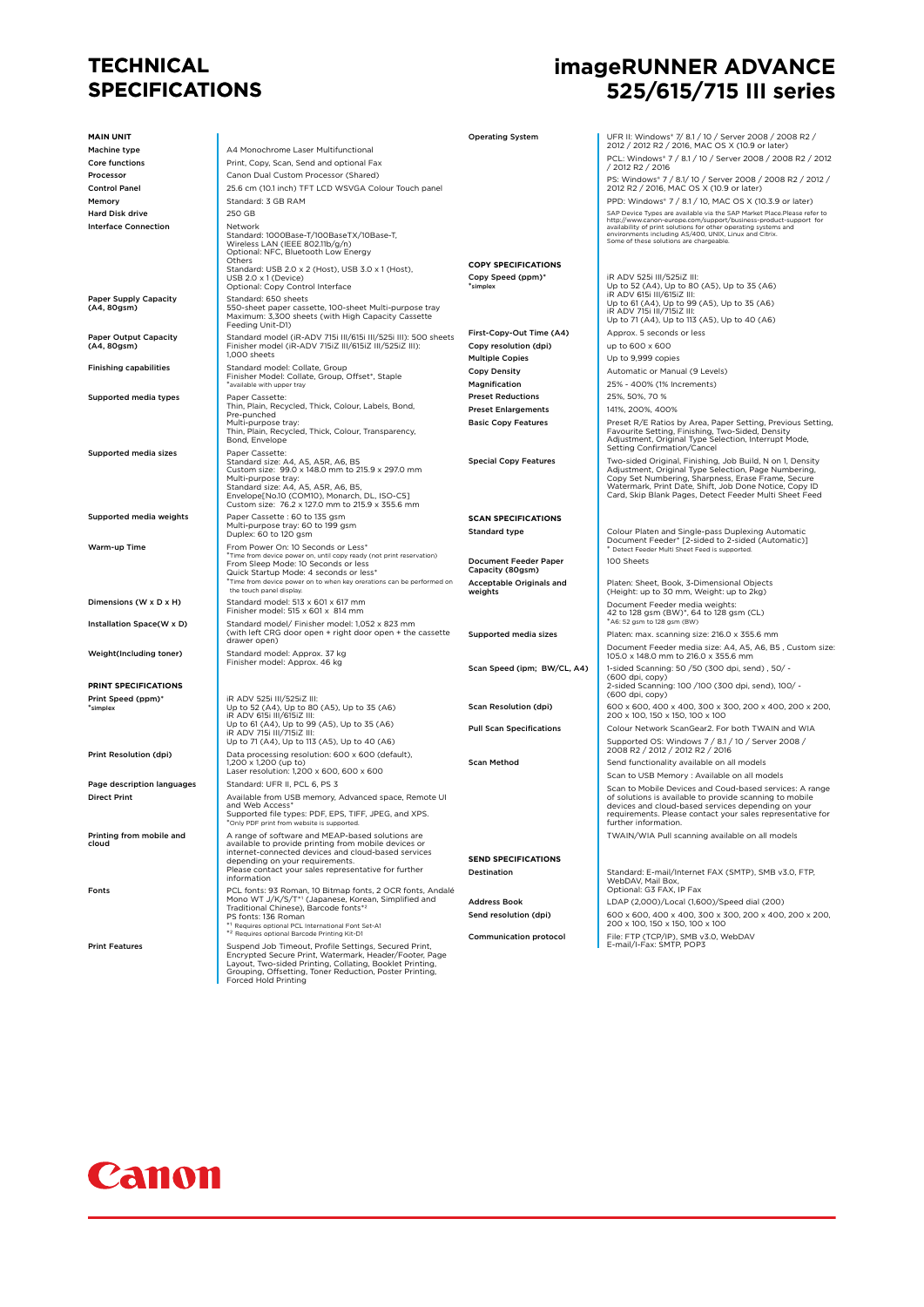# **TECHNICAL SPECIFICATIONS**

# **imageRUNNER ADVANCE 525/615/715 III series**

| <b>MAIN UNIT</b>                                    |                                                                                                                                                                                                                                                                | <b>Operating System</b>                          | UFR II: Windows* 7/ 8.1 / 10 / Server 2008 / 2008 R2 /                                                                                                               |
|-----------------------------------------------------|----------------------------------------------------------------------------------------------------------------------------------------------------------------------------------------------------------------------------------------------------------------|--------------------------------------------------|----------------------------------------------------------------------------------------------------------------------------------------------------------------------|
| Machine type                                        | A4 Monochrome Laser Multifunctional                                                                                                                                                                                                                            |                                                  | 2012 / 2012 R2 / 2016, MAC OS X (10.9 or later)                                                                                                                      |
| Core functions                                      | Print, Copy, Scan, Send and optional Fax                                                                                                                                                                                                                       |                                                  | PCL: Windows* 7 / 8.1 / 10 / Server 2008 / 2008 R2 / 2012<br>/ 2012 R2 / 2016                                                                                        |
| Processor                                           | Canon Dual Custom Processor (Shared)                                                                                                                                                                                                                           |                                                  | PS: Windows* 7 / 8.1/ 10 / Server 2008 / 2008 R2 / 2012 /                                                                                                            |
| <b>Control Panel</b>                                | 25.6 cm (10.1 inch) TFT LCD WSVGA Colour Touch panel                                                                                                                                                                                                           |                                                  | 2012 R2 / 2016, MAC OS X (10.9 or later)                                                                                                                             |
| Memory                                              | Standard: 3 GB RAM                                                                                                                                                                                                                                             |                                                  | PPD: Windows* 7 / 8.1 / 10, MAC OS X (10.3.9 or later)                                                                                                               |
| <b>Hard Disk drive</b>                              | 250 GB                                                                                                                                                                                                                                                         |                                                  | SAP Device Types are available via the SAP Market Place.Please refer to<br>http://www.canon-europe.com/support/business-product-support_for                          |
| <b>Interface Connection</b>                         | Network<br>Standard: 1000Base-T/100BaseTX/10Base-T,<br>Wireless LAN (IEEE 802.11b/g/n)                                                                                                                                                                         |                                                  | availability of print solutions for other operating systems and<br>environments including AS/400, UNIX, Linux and Citrix.<br>Some of these solutions are chargeable. |
|                                                     | Optional: NFC, Bluetooth Low Energy<br>Others                                                                                                                                                                                                                  | <b>COPY SPECIFICATIONS</b>                       |                                                                                                                                                                      |
|                                                     | Standard: USB 2.0 x 2 (Host), USB 3.0 x 1 (Host),<br>USB 2.0 x 1 (Device)                                                                                                                                                                                      | Copy Speed (ppm)*<br>*simplex                    | iR ADV 525i III/525iZ III:<br>Up to 52 (A4), Up to 80 (A5), Up to 35 (A6)                                                                                            |
| <b>Paper Supply Capacity</b>                        | Optional: Copy Control Interface<br>Standard: 650 sheets                                                                                                                                                                                                       |                                                  | iR ADV 615i III/615iZ III:                                                                                                                                           |
| (A4, 80gsm)                                         | 550-sheet paper cassette, 100-sheet Multi-purpose tray<br>Maximum: 3,300 sheets (with High Capacity Cassette<br>Feeding Unit-D1)                                                                                                                               |                                                  | Up to 61 (A4), Up to 99 (A5), Up to 35 (A6)<br>iR ADV 715i III/715iZ III:<br>Up to 71 (A4), Up to 113 (A5), Up to 40 (A6)                                            |
| <b>Paper Output Capacity</b>                        | Standard model (iR-ADV 715i III/615i III/525i III): 500 sheets                                                                                                                                                                                                 | First-Copy-Out Time (A4)                         | Approx. 5 seconds or less                                                                                                                                            |
| (A4, 80gsm)                                         | Finisher model (iR-ADV 715iZ III/615iZ III/525iZ III):<br>1,000 sheets                                                                                                                                                                                         | Copy resolution (dpi)                            | up to 600 x 600                                                                                                                                                      |
| <b>Finishing capabilities</b>                       | Standard model: Collate, Group                                                                                                                                                                                                                                 | <b>Multiple Copies</b>                           | Up to 9,999 copies                                                                                                                                                   |
|                                                     | Finisher Model: Collate, Group, Offset*, Staple                                                                                                                                                                                                                | <b>Copy Density</b>                              | Automatic or Manual (9 Levels)                                                                                                                                       |
|                                                     | *available with upper tray                                                                                                                                                                                                                                     | Magnification<br><b>Preset Reductions</b>        | 25% - 400% (1% Increments)<br>25%, 50%, 70 %                                                                                                                         |
| Supported media types                               | Paper Cassette:<br>Thin, Plain, Recycled, Thick, Colour, Labels, Bond,                                                                                                                                                                                         | <b>Preset Enlargements</b>                       | 141%, 200%, 400%                                                                                                                                                     |
|                                                     | Pre-punched<br>Multi-purpose tray:                                                                                                                                                                                                                             | <b>Basic Copy Features</b>                       | Preset R/E Ratios by Area, Paper Setting, Previous Setting,                                                                                                          |
|                                                     | Thin, Plain, Recycled, Thick, Colour, Transparency,<br>Bond, Envelope                                                                                                                                                                                          |                                                  | Favourite Setting, Finishing, Two-Sided, Density<br>Adjustment, Original Type Selection, Interrupt Mode,<br>Setting Confirmation/Cancel                              |
| <b>Supported media sizes</b>                        | Paper Cassette:<br>Standard size: A4, A5, A5R, A6, B5<br>Custom size: 99.0 x 148.0 mm to 215.9 x 297.0 mm                                                                                                                                                      | <b>Special Copy Features</b>                     | Two-sided Original, Finishing, Job Build, N on 1, Density<br>Adjustment, Original Type Selection, Page Numbering,                                                    |
|                                                     | Multi-purpose tray:                                                                                                                                                                                                                                            |                                                  | Copy Set Numbering, Sharpness, Erase Frame, Secure                                                                                                                   |
|                                                     | Standard size: A4, A5, A5R, A6, B5,<br>Envelope[No.10 (COM10), Monarch, DL, ISO-C5]<br>Custom size: 76.2 x 127.0 mm to 215.9 x 355.6 mm                                                                                                                        |                                                  | Watermark, Print Date, Shift, Job Done Notice, Copy ID<br>Card, Skip Blank Pages, Detect Feeder Multi Sheet Feed                                                     |
| Supported media weights                             | Paper Cassette : 60 to 135 gsm                                                                                                                                                                                                                                 | <b>SCAN SPECIFICATIONS</b>                       |                                                                                                                                                                      |
|                                                     | Multi-purpose tray: 60 to 199 gsm<br>Duplex: 60 to 120 gsm                                                                                                                                                                                                     | <b>Standard type</b>                             | Colour Platen and Single-pass Duplexing Automatic                                                                                                                    |
| Warm-up Time                                        | From Power On: 10 Seconds or Less*                                                                                                                                                                                                                             |                                                  | Document Feeder* [2-sided to 2-sided (Automatic)]<br>* Detect Feeder Multi Sheet Feed is supported.                                                                  |
|                                                     | *Time from device power on, until copy ready (not print reservation)<br>From Sleep Mode: 10 Seconds or less<br>Quick Startup Mode: 4 seconds or less*<br>*Time from device power on to when key orerations can be performed on                                 | <b>Document Feeder Paper</b><br>Capacity (80gsm) | 100 Sheets                                                                                                                                                           |
|                                                     | the touch panel display.                                                                                                                                                                                                                                       | Acceptable Originals and<br>weights              | Platen: Sheet, Book, 3-Dimensional Objects<br>(Height: up to 30 mm, Weight: up to 2kg)                                                                               |
| Dimensions (W x D x H)<br>Installation Space(W x D) | Standard model: 513 x 601 x 617 mm<br>Finisher model: 515 x 601 x 814 mm<br>Standard model/ Finisher model: 1,052 x 823 mm                                                                                                                                     |                                                  | Document Feeder media weights:<br>42 to 128 gsm (BW)*, 64 to 128 gsm (CL)<br>*A6: 52 gsm to 128 gsm (BW)                                                             |
|                                                     | (with left CRG door open + right door open + the cassette<br>drawer open)                                                                                                                                                                                      | Supported media sizes                            | Platen: max. scanning size: 216.0 x 355.6 mm                                                                                                                         |
| Weight(Including toner)                             | Standard model: Approx. 37 kg                                                                                                                                                                                                                                  |                                                  | Document Feeder media size: A4, A5, A6, B5, Custom size:<br>105.0 x 148.0 mm to 216.0 x 355.6 mm                                                                     |
|                                                     | Finisher model: Approx. 46 kg                                                                                                                                                                                                                                  | Scan Speed (ipm; BW/CL, A4)                      | 1-sided Scanning: 50 / 50 (300 dpi, send), 50/ -<br>(600 dpi, copy)                                                                                                  |
| PRINT SPECIFICATIONS                                |                                                                                                                                                                                                                                                                |                                                  | 2-sided Scanning: 100 /100 (300 dpi, send), 100/ -                                                                                                                   |
| Print Speed (ppm)*                                  | iR ADV 525i III/525iZ III:                                                                                                                                                                                                                                     | <b>Scan Resolution (dpi)</b>                     | (600 dpi, copy)<br>600 x 600, 400 x 400, 300 x 300, 200 x 400, 200 x 200,                                                                                            |
| *simplex                                            | Up to 52 (A4), Up to 80 (A5), Up to 35 (A6)<br>iR ADV 615i III/615iZ III:<br>Up to 61 (A4), Up to 99 (A5), Up to 35 (A6)                                                                                                                                       |                                                  | 200 x 100, 150 x 150, 100 x 100                                                                                                                                      |
|                                                     | iR ADV 715i III/715iZ III:<br>Up to 71 (A4), Up to 113 (A5), Up to 40 (A6)                                                                                                                                                                                     | <b>Pull Scan Specifications</b>                  | Colour Network ScanGear2. For both TWAIN and WIA<br>Supported OS: Windows 7 / 8.1 / 10 / Server 2008 /                                                               |
| Print Resolution (dpi)                              | Data processing resolution: 600 x 600 (default),                                                                                                                                                                                                               |                                                  | 2008 R2 / 2012 / 2012 R2 / 2016                                                                                                                                      |
|                                                     | 1,200 x 1,200 (up to)                                                                                                                                                                                                                                          | <b>Scan Method</b>                               | Send functionality available on all models                                                                                                                           |
|                                                     | Laser resolution: 1,200 x 600, 600 x 600                                                                                                                                                                                                                       |                                                  | Scan to USB Memory : Available on all models                                                                                                                         |
| Page description languages<br><b>Direct Print</b>   | Standard: UFR II, PCL 6, PS 3                                                                                                                                                                                                                                  |                                                  | Scan to Mobile Devices and Coud-based services: A range                                                                                                              |
|                                                     | Available from USB memory, Advanced space, Remote UI<br>and Web Access*                                                                                                                                                                                        |                                                  | of solutions is available to provide scanning to mobile<br>devices and cloud-based services depending on your                                                        |
|                                                     | Supported file types: PDF, EPS, TIFF, JPEG, and XPS.<br>Only PDF print from website is supported                                                                                                                                                               |                                                  | requirements. Please contact your sales representative for<br>further information.                                                                                   |
| Printing from mobile and<br>cloud                   | A range of software and MEAP-based solutions are<br>available to provide printing from mobile devices or                                                                                                                                                       |                                                  | TWAIN/WIA Pull scanning available on all models                                                                                                                      |
|                                                     | internet-connected devices and cloud-based services                                                                                                                                                                                                            |                                                  |                                                                                                                                                                      |
|                                                     | depending on your requirements.<br>Please contact your sales representative for further                                                                                                                                                                        | <b>SEND SPECIFICATIONS</b>                       |                                                                                                                                                                      |
|                                                     | information                                                                                                                                                                                                                                                    | Destination                                      | Standard: E-mail/Internet FAX (SMTP), SMB v3.0, FTP,<br>WebDAV, Mail Box,                                                                                            |
| Fonts                                               | PCL fonts: 93 Roman, 10 Bitmap fonts, 2 OCR fonts, Andalé                                                                                                                                                                                                      |                                                  | Optional: G3 FAX, IP Fax                                                                                                                                             |
|                                                     | Mono WT J/K/S/T*1 (Japanese, Korean, Simplified and<br>Traditional Chinese), Barcode fonts*2                                                                                                                                                                   | <b>Address Book</b>                              | LDAP (2,000)/Local (1,600)/Speed dial (200)                                                                                                                          |
|                                                     | PS fonts: 136 Roman<br>*1 Requires optional PCL International Font Set-A1                                                                                                                                                                                      | Send resolution (dpi)                            | 600 x 600, 400 x 400, 300 x 300, 200 x 400, 200 x 200,<br>200 x 100, 150 x 150, 100 x 100                                                                            |
|                                                     | *2 Requires optional Barcode Printing Kit-D1                                                                                                                                                                                                                   | <b>Communication protocol</b>                    | File: FTP (TCP/IP), SMB v3.0, WebDAV                                                                                                                                 |
| <b>Print Features</b>                               | Suspend Job Timeout, Profile Settings, Secured Print,<br>Encrypted Secure Print, Watermark, Header/Footer, Page<br>Layout, Two-sided Printing, Collating, Booklet Printing,<br>Grouping, Offsetting, Toner Reduction, Poster Printing,<br>Forced Hold Printing |                                                  | E-mail/I-Fax: SMTP, POP3                                                                                                                                             |

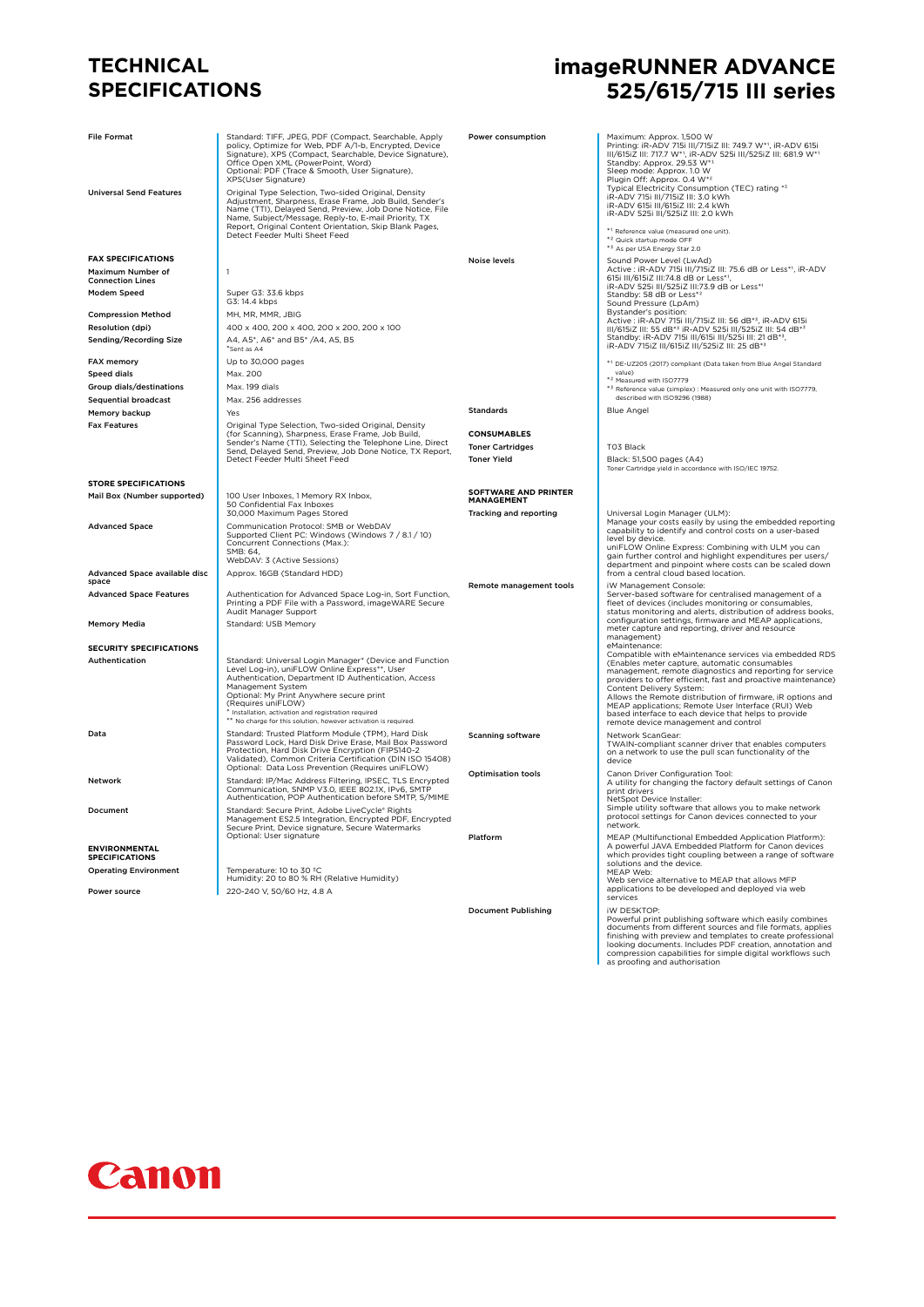## **TECHNICAL SPECIFICATIONS**

| <b>File Format</b><br><b>Universal Send Features</b> | Standard: TIFF, JPEG, PDF (Compact, Searchable, Apply<br>policy, Optimize for Web, PDF A/1-b, Encrypted, Device<br>Signature), XPS (Compact, Searchable, Device Signature),<br>Office Open XML (PowerPoint, Word)<br>Optional: PDF (Trace & Smooth, User Signature),<br>XPS(User Signature)<br>Original Type Selection, Two-sided Original, Density<br>Adjustment, Sharpness, Erase Frame, Job Build, Sender's<br>Name (TTI), Delayed Send, Preview, Job Done Notice, File<br>Name, Subject/Message, Reply-to, E-mail Priority, TX<br>Report, Original Content Orientation, Skip Blank Pages, | Power consumption                         | Maximum: Approx. 1,500 W<br>Printing: iR-ADV 715i III/715iZ III: 749.7 W*1, iR-ADV 615i<br>III/615iZ III: 717.7 W*1, iR-ADV 525i III/525iZ III: 681.9 W*1<br>Standby: Approx. 29.53 W*1<br>Sleep mode: Approx. 1.0 W<br>Plugin Off: Approx. 0.4 W*2<br>Typical Electricity Consumption (TEC) rating *3<br>IR-ADV 715i III/715iZ III: 3.0 kWh<br>iR-ADV 615i III/615iZ III: 2.4 kWh<br>iR-ADV 525i III/525iZ III: 2.0 kWh   |
|------------------------------------------------------|-----------------------------------------------------------------------------------------------------------------------------------------------------------------------------------------------------------------------------------------------------------------------------------------------------------------------------------------------------------------------------------------------------------------------------------------------------------------------------------------------------------------------------------------------------------------------------------------------|-------------------------------------------|----------------------------------------------------------------------------------------------------------------------------------------------------------------------------------------------------------------------------------------------------------------------------------------------------------------------------------------------------------------------------------------------------------------------------|
|                                                      | Detect Feeder Multi Sheet Feed                                                                                                                                                                                                                                                                                                                                                                                                                                                                                                                                                                |                                           | *1 Reference value (measured one unit).<br>*2 Quick startup mode OFF<br>*3 As per USA Energy Star 2.0                                                                                                                                                                                                                                                                                                                      |
| <b>FAX SPECIFICATIONS</b>                            |                                                                                                                                                                                                                                                                                                                                                                                                                                                                                                                                                                                               | Noise levels                              | Sound Power Level (LwAd)                                                                                                                                                                                                                                                                                                                                                                                                   |
| Maximum Number of<br><b>Connection Lines</b>         | $\mathbf{1}$                                                                                                                                                                                                                                                                                                                                                                                                                                                                                                                                                                                  |                                           | Active : iR-ADV 715i III/715iZ III: 75.6 dB or Less*1, iR-ADV<br>615i III/615iZ III:74.8 dB or Less*1,                                                                                                                                                                                                                                                                                                                     |
| Modem Speed                                          | Super G3: 33.6 kbps<br>G3: 14.4 kbps                                                                                                                                                                                                                                                                                                                                                                                                                                                                                                                                                          |                                           | iR-ADV 525i III/525iZ III:73.9 dB or Less*1<br>Standby: 58 dB or Less*2<br>Sound Pressure (LpAm)                                                                                                                                                                                                                                                                                                                           |
| <b>Compression Method</b>                            | MH, MR, MMR, JBIG                                                                                                                                                                                                                                                                                                                                                                                                                                                                                                                                                                             |                                           | Bystander's position:                                                                                                                                                                                                                                                                                                                                                                                                      |
| Resolution (dpi)                                     | 400 x 400, 200 x 400, 200 x 200, 200 x 100                                                                                                                                                                                                                                                                                                                                                                                                                                                                                                                                                    |                                           | Active : iR-ADV 715i III/715iZ III: 56 dB*3, iR-ADV 615i<br>III/615iZ III: 55 dB* <sup>3</sup> iR-ADV 525i III/525iZ III: 54 dB* <sup>3</sup>                                                                                                                                                                                                                                                                              |
| Sending/Recording Size                               | A4, A5*, A6* and B5* /A4, A5, B5<br>Sent as A4                                                                                                                                                                                                                                                                                                                                                                                                                                                                                                                                                |                                           | Standby: iR-ADV 715i III/615i III/525i III: 21 dB*3,<br>iR-ADV 715iZ III/615iZ III/525iZ III: 25 dB*3                                                                                                                                                                                                                                                                                                                      |
| FAX memory                                           | Up to 30,000 pages                                                                                                                                                                                                                                                                                                                                                                                                                                                                                                                                                                            |                                           | *1 DE-UZ205 (2017) compliant (Data taken from Blue Angel Standard                                                                                                                                                                                                                                                                                                                                                          |
| Speed dials                                          | Max. 200                                                                                                                                                                                                                                                                                                                                                                                                                                                                                                                                                                                      |                                           | value)<br>* <sup>2</sup> Measured with ISO7779                                                                                                                                                                                                                                                                                                                                                                             |
| Group dials/destinations                             | Max. 199 dials                                                                                                                                                                                                                                                                                                                                                                                                                                                                                                                                                                                |                                           | *3 Reference value (simplex) : Measured only one unit with ISO7779,                                                                                                                                                                                                                                                                                                                                                        |
| <b>Sequential broadcast</b>                          | Max. 256 addresses                                                                                                                                                                                                                                                                                                                                                                                                                                                                                                                                                                            |                                           | described with ISO9296 (1988)                                                                                                                                                                                                                                                                                                                                                                                              |
| Memory backup                                        |                                                                                                                                                                                                                                                                                                                                                                                                                                                                                                                                                                                               | <b>Standards</b>                          | <b>Blue Angel</b>                                                                                                                                                                                                                                                                                                                                                                                                          |
| <b>Fax Features</b>                                  | Original Type Selection, Two-sided Original, Density                                                                                                                                                                                                                                                                                                                                                                                                                                                                                                                                          |                                           |                                                                                                                                                                                                                                                                                                                                                                                                                            |
|                                                      | (for Scanning), Sharpness, Erase Frame, Job Build,                                                                                                                                                                                                                                                                                                                                                                                                                                                                                                                                            | <b>CONSUMABLES</b>                        |                                                                                                                                                                                                                                                                                                                                                                                                                            |
|                                                      | Sender's Name (TTI), Selecting the Telephone Line, Direct<br>Send, Delayed Send, Preview, Job Done Notice, TX Report,                                                                                                                                                                                                                                                                                                                                                                                                                                                                         | <b>Toner Cartridges</b>                   | T03 Black                                                                                                                                                                                                                                                                                                                                                                                                                  |
|                                                      | Detect Feeder Multi Sheet Feed                                                                                                                                                                                                                                                                                                                                                                                                                                                                                                                                                                | <b>Toner Yield</b>                        | Black: 51,500 pages (A4)<br>Toner Cartridge yield in accordance with ISO/IEC 19752.                                                                                                                                                                                                                                                                                                                                        |
| <b>STORE SPECIFICATIONS</b>                          |                                                                                                                                                                                                                                                                                                                                                                                                                                                                                                                                                                                               |                                           |                                                                                                                                                                                                                                                                                                                                                                                                                            |
| Mail Box (Number supported)                          | 100 User Inboxes, 1 Memory RX Inbox,<br>50 Confidential Fax Inboxes                                                                                                                                                                                                                                                                                                                                                                                                                                                                                                                           | SOFTWARE AND PRINTER<br><b>MANAGEMENT</b> |                                                                                                                                                                                                                                                                                                                                                                                                                            |
|                                                      | 30,000 Maximum Pages Stored                                                                                                                                                                                                                                                                                                                                                                                                                                                                                                                                                                   | Tracking and reporting                    | Universal Login Manager (ULM):                                                                                                                                                                                                                                                                                                                                                                                             |
| <b>Advanced Space</b>                                | Communication Protocol: SMB or WebDAV<br>Supported Client PC: Windows (Windows 7 / 8.1 / 10)<br>Concurrent Connections (Max.):<br>SMB: 64,<br>WebDAV: 3 (Active Sessions)                                                                                                                                                                                                                                                                                                                                                                                                                     |                                           | Manage your costs easily by using the embedded reporting<br>capability to identify and control costs on a user-based<br>level by device.<br>uniFLOW Online Express: Combining with ULM you can<br>gain further control and highlight expenditures per users/<br>department and pinpoint where costs can be scaled down                                                                                                     |
| Advanced Space available disc<br>space               | Approx. 16GB (Standard HDD)                                                                                                                                                                                                                                                                                                                                                                                                                                                                                                                                                                   |                                           | from a central cloud based location.                                                                                                                                                                                                                                                                                                                                                                                       |
| <b>Advanced Space Features</b>                       | Authentication for Advanced Space Log-in, Sort Function,<br>Printing a PDF File with a Password, imageWARE Secure<br>Audit Manager Support                                                                                                                                                                                                                                                                                                                                                                                                                                                    | Remote management tools                   | iW Management Console:<br>Server-based software for centralised management of a<br>fleet of devices (includes monitoring or consumables,<br>status monitoring and alerts, distribution of address books,                                                                                                                                                                                                                   |
| <b>Memory Media</b>                                  | Standard: USB Memory                                                                                                                                                                                                                                                                                                                                                                                                                                                                                                                                                                          |                                           | configuration settings, firmware and MEAP applications,<br>meter capture and reporting, driver and resource<br>management)                                                                                                                                                                                                                                                                                                 |
| <b>SECURITY SPECIFICATIONS</b>                       |                                                                                                                                                                                                                                                                                                                                                                                                                                                                                                                                                                                               |                                           | eMaintenance:<br>Compatible with eMaintenance services via embedded RDS                                                                                                                                                                                                                                                                                                                                                    |
| Authentication                                       | Standard: Universal Login Manager* (Device and Function<br>Level Log-in), uniFLOW Online Express**, User<br>Authentication, Department ID Authentication, Access<br>Management System<br>Optional: My Print Anywhere secure print<br>(Requires uniFLOW)<br>Installation, activation and registration required<br>** No charge for this solution, however activation is required.                                                                                                                                                                                                              |                                           | (Enables meter capture, automatic consumables<br>management, remote diagnostics and reporting for service<br>providers to offer efficient, fast and proactive maintenance)<br>Content Delivery System:<br>Allows the Remote distribution of firmware, iR options and<br>MEAP applications; Remote User Interface (RUI) Web<br>based interface to each device that helps to provide<br>remote device management and control |
| Data                                                 | Standard: Trusted Platform Module (TPM), Hard Disk<br>Password Lock, Hard Disk Drive Erase, Mail Box Password<br>Protection, Hard Disk Drive Encryption (FIPS140-2<br>Validated), Common Criteria Certification (DIN ISO 15408)<br>Optional: Data Loss Prevention (Requires uniFLOW)                                                                                                                                                                                                                                                                                                          | <b>Scanning software</b>                  | Network ScanGear:<br>TWAIN-compliant scanner driver that enables computers<br>on a network to use the pull scan functionality of the<br>device                                                                                                                                                                                                                                                                             |
| Network                                              | Standard: IP/Mac Address Filtering, IPSEC, TLS Encrypted<br>Communication, SNMP V3.0, IEEE 802.1X, IPv6, SMTP<br>Authentication, POP Authentication before SMTP, S/MIME                                                                                                                                                                                                                                                                                                                                                                                                                       | <b>Optimisation tools</b>                 | Canon Driver Configuration Tool:<br>A utility for changing the factory default settings of Canon<br>print drivers<br>NetSpot Device Installer:                                                                                                                                                                                                                                                                             |
| Document                                             | Standard: Secure Print, Adobe LiveCycle® Rights<br>Management ES2.5 Integration, Encrypted PDF, Encrypted<br>Secure Print, Device signature, Secure Watermarks<br>Optional: User signature                                                                                                                                                                                                                                                                                                                                                                                                    | Platform                                  | Simple utility software that allows you to make network<br>protocol settings for Canon devices connected to your<br>network.<br>MEAP (Multifunctional Embedded Application Platform):                                                                                                                                                                                                                                      |
| <b>ENVIRONMENTAL</b><br><b>SPECIFICATIONS</b>        |                                                                                                                                                                                                                                                                                                                                                                                                                                                                                                                                                                                               |                                           | A powerful JAVA Embedded Platform for Canon devices<br>which provides tight coupling between a range of software                                                                                                                                                                                                                                                                                                           |
| <b>Operating Environment</b>                         | Temperature: 10 to 30 °C<br>Humidity: 20 to 80 % RH (Relative Humidity)                                                                                                                                                                                                                                                                                                                                                                                                                                                                                                                       |                                           | solutions and the device.<br>MEAP Web:<br>Web service alternative to MEAP that allows MFP                                                                                                                                                                                                                                                                                                                                  |
| <b>Power source</b>                                  | 220-240 V, 50/60 Hz, 4.8 A                                                                                                                                                                                                                                                                                                                                                                                                                                                                                                                                                                    |                                           | applications to be developed and deployed via web<br>services                                                                                                                                                                                                                                                                                                                                                              |
|                                                      |                                                                                                                                                                                                                                                                                                                                                                                                                                                                                                                                                                                               | <b>Document Publishing</b>                | <b>iW DESKTOP:</b><br>Powerful print publishing software which easily combines                                                                                                                                                                                                                                                                                                                                             |

Powerful print publishing software which easily combines<br>documents from different sources and file formats, applies<br>finishing with preview and templates to create professional<br>looking documents. Includes PDF creation, anno



# **imageRUNNER ADVANCE 525/615/715 III series**